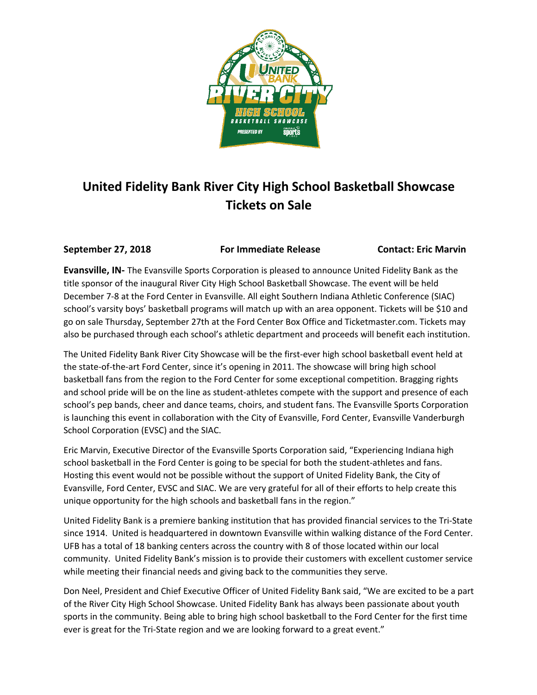

## **United Fidelity Bank River City High School Basketball Showcase Tickets on Sale**

**September 27, 2018 For Immediate Release Contact: Eric Marvin** 

**Evansville, IN-** The Evansville Sports Corporation is pleased to announce United Fidelity Bank as the title sponsor of the inaugural River City High School Basketball Showcase. The event will be held December 7-8 at the Ford Center in Evansville. All eight Southern Indiana Athletic Conference (SIAC) school's varsity boys' basketball programs will match up with an area opponent. Tickets will be \$10 and go on sale Thursday, September 27th at the Ford Center Box Office and Ticketmaster.com. Tickets may also be purchased through each school's athletic department and proceeds will benefit each institution.

The United Fidelity Bank River City Showcase will be the first-ever high school basketball event held at the state-of-the-art Ford Center, since it's opening in 2011. The showcase will bring high school basketball fans from the region to the Ford Center for some exceptional competition. Bragging rights and school pride will be on the line as student-athletes compete with the support and presence of each school's pep bands, cheer and dance teams, choirs, and student fans. The Evansville Sports Corporation is launching this event in collaboration with the City of Evansville, Ford Center, Evansville Vanderburgh School Corporation (EVSC) and the SIAC.

Eric Marvin, Executive Director of the Evansville Sports Corporation said, "Experiencing Indiana high school basketball in the Ford Center is going to be special for both the student-athletes and fans. Hosting this event would not be possible without the support of United Fidelity Bank, the City of Evansville, Ford Center, EVSC and SIAC. We are very grateful for all of their efforts to help create this unique opportunity for the high schools and basketball fans in the region."

United Fidelity Bank is a premiere banking institution that has provided financial services to the Tri-State since 1914. United is headquartered in downtown Evansville within walking distance of the Ford Center. UFB has a total of 18 banking centers across the country with 8 of those located within our local community. United Fidelity Bank's mission is to provide their customers with excellent customer service while meeting their financial needs and giving back to the communities they serve.

Don Neel, President and Chief Executive Officer of United Fidelity Bank said, "We are excited to be a part of the River City High School Showcase. United Fidelity Bank has always been passionate about youth sports in the community. Being able to bring high school basketball to the Ford Center for the first time ever is great for the Tri-State region and we are looking forward to a great event."